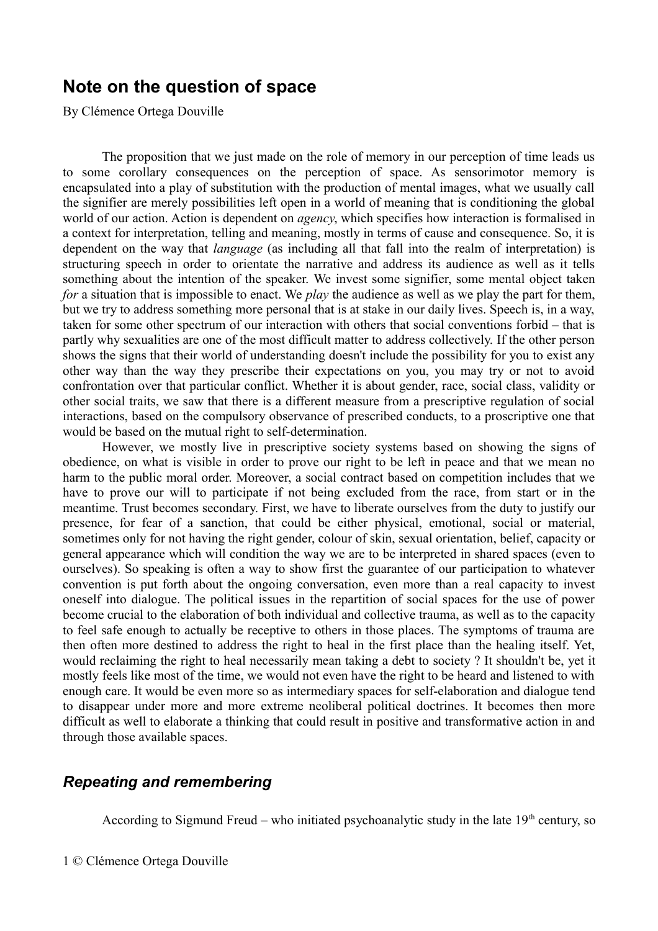## **Note on the question of space**

By Clémence Ortega Douville

The proposition that we just made on the role of memory in our perception of time leads us to some corollary consequences on the perception of space. As sensorimotor memory is encapsulated into a play of substitution with the production of mental images, what we usually call the signifier are merely possibilities left open in a world of meaning that is conditioning the global world of our action. Action is dependent on *agency*, which specifies how interaction is formalised in a context for interpretation, telling and meaning, mostly in terms of cause and consequence. So, it is dependent on the way that *language* (as including all that fall into the realm of interpretation) is structuring speech in order to orientate the narrative and address its audience as well as it tells something about the intention of the speaker. We invest some signifier, some mental object taken *for* a situation that is impossible to enact. We *play* the audience as well as we play the part for them, but we try to address something more personal that is at stake in our daily lives. Speech is, in a way, taken for some other spectrum of our interaction with others that social conventions forbid – that is partly why sexualities are one of the most difficult matter to address collectively. If the other person shows the signs that their world of understanding doesn't include the possibility for you to exist any other way than the way they prescribe their expectations on you, you may try or not to avoid confrontation over that particular conflict. Whether it is about gender, race, social class, validity or other social traits, we saw that there is a different measure from a prescriptive regulation of social interactions, based on the compulsory observance of prescribed conducts, to a proscriptive one that would be based on the mutual right to self-determination.

However, we mostly live in prescriptive society systems based on showing the signs of obedience, on what is visible in order to prove our right to be left in peace and that we mean no harm to the public moral order. Moreover, a social contract based on competition includes that we have to prove our will to participate if not being excluded from the race, from start or in the meantime. Trust becomes secondary. First, we have to liberate ourselves from the duty to justify our presence, for fear of a sanction, that could be either physical, emotional, social or material, sometimes only for not having the right gender, colour of skin, sexual orientation, belief, capacity or general appearance which will condition the way we are to be interpreted in shared spaces (even to ourselves). So speaking is often a way to show first the guarantee of our participation to whatever convention is put forth about the ongoing conversation, even more than a real capacity to invest oneself into dialogue. The political issues in the repartition of social spaces for the use of power become crucial to the elaboration of both individual and collective trauma, as well as to the capacity to feel safe enough to actually be receptive to others in those places. The symptoms of trauma are then often more destined to address the right to heal in the first place than the healing itself. Yet, would reclaiming the right to heal necessarily mean taking a debt to society ? It shouldn't be, yet it mostly feels like most of the time, we would not even have the right to be heard and listened to with enough care. It would be even more so as intermediary spaces for self-elaboration and dialogue tend to disappear under more and more extreme neoliberal political doctrines. It becomes then more difficult as well to elaborate a thinking that could result in positive and transformative action in and through those available spaces.

## *Repeating and remembering*

According to Sigmund Freud – who initiated psychoanalytic study in the late  $19<sup>th</sup>$  century, so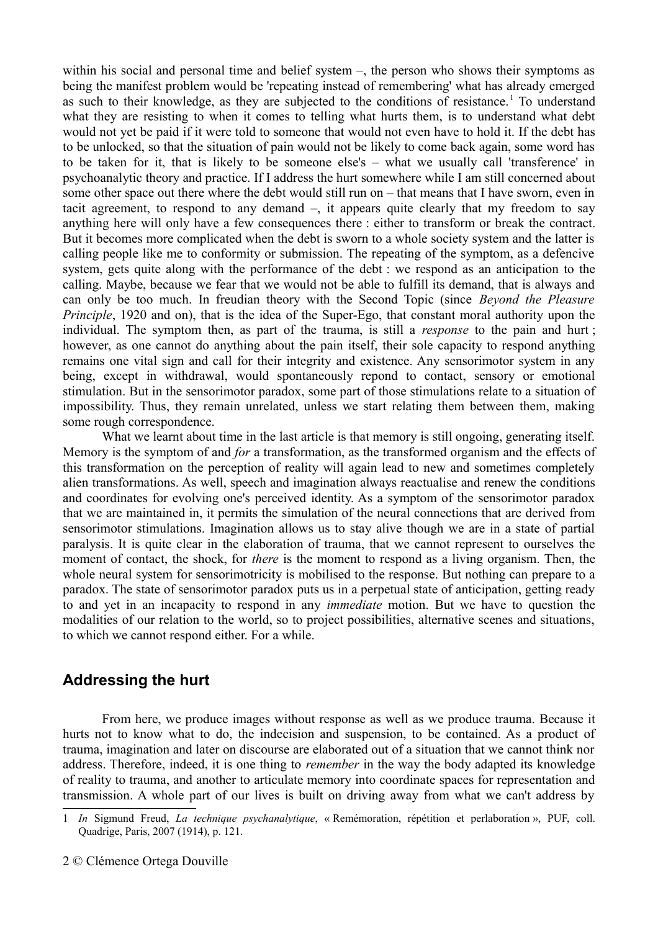within his social and personal time and belief system –, the person who shows their symptoms as being the manifest problem would be 'repeating instead of remembering' what has already emerged as such to their knowledge, as they are subjected to the conditions of resistance.<sup>[1](#page-1-0)</sup> To understand what they are resisting to when it comes to telling what hurts them, is to understand what debt would not yet be paid if it were told to someone that would not even have to hold it. If the debt has to be unlocked, so that the situation of pain would not be likely to come back again, some word has to be taken for it, that is likely to be someone else's – what we usually call 'transference' in psychoanalytic theory and practice. If I address the hurt somewhere while I am still concerned about some other space out there where the debt would still run on – that means that I have sworn, even in tacit agreement, to respond to any demand –, it appears quite clearly that my freedom to say anything here will only have a few consequences there : either to transform or break the contract. But it becomes more complicated when the debt is sworn to a whole society system and the latter is calling people like me to conformity or submission. The repeating of the symptom, as a defencive system, gets quite along with the performance of the debt : we respond as an anticipation to the calling. Maybe, because we fear that we would not be able to fulfill its demand, that is always and can only be too much. In freudian theory with the Second Topic (since *Beyond the Pleasure Principle*, 1920 and on), that is the idea of the Super-Ego, that constant moral authority upon the individual. The symptom then, as part of the trauma, is still a *response* to the pain and hurt ; however, as one cannot do anything about the pain itself, their sole capacity to respond anything remains one vital sign and call for their integrity and existence. Any sensorimotor system in any being, except in withdrawal, would spontaneously repond to contact, sensory or emotional stimulation. But in the sensorimotor paradox, some part of those stimulations relate to a situation of impossibility. Thus, they remain unrelated, unless we start relating them between them, making some rough correspondence.

What we learnt about time in the last article is that memory is still ongoing, generating itself. Memory is the symptom of and *for* a transformation, as the transformed organism and the effects of this transformation on the perception of reality will again lead to new and sometimes completely alien transformations. As well, speech and imagination always reactualise and renew the conditions and coordinates for evolving one's perceived identity. As a symptom of the sensorimotor paradox that we are maintained in, it permits the simulation of the neural connections that are derived from sensorimotor stimulations. Imagination allows us to stay alive though we are in a state of partial paralysis. It is quite clear in the elaboration of trauma, that we cannot represent to ourselves the moment of contact, the shock, for *there* is the moment to respond as a living organism. Then, the whole neural system for sensorimotricity is mobilised to the response. But nothing can prepare to a paradox. The state of sensorimotor paradox puts us in a perpetual state of anticipation, getting ready to and yet in an incapacity to respond in any *immediate* motion. But we have to question the modalities of our relation to the world, so to project possibilities, alternative scenes and situations, to which we cannot respond either. For a while.

## **Addressing the hurt**

From here, we produce images without response as well as we produce trauma. Because it hurts not to know what to do, the indecision and suspension, to be contained. As a product of trauma, imagination and later on discourse are elaborated out of a situation that we cannot think nor address. Therefore, indeed, it is one thing to *remember* in the way the body adapted its knowledge of reality to trauma, and another to articulate memory into coordinate spaces for representation and transmission. A whole part of our lives is built on driving away from what we can't address by

<span id="page-1-0"></span><sup>1</sup> *In* Sigmund Freud, *La technique psychanalytique*, « Remémoration, répétition et perlaboration », PUF, coll. Quadrige, Paris, 2007 (1914), p. 121.